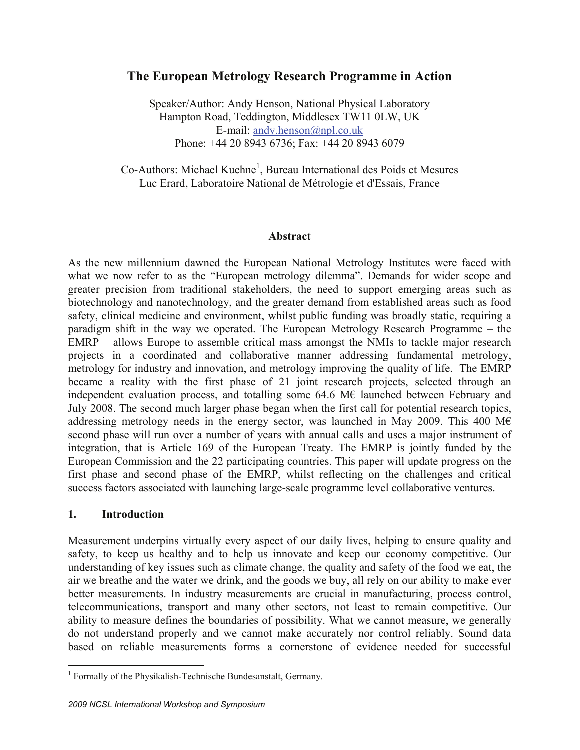# **The European Metrology Research Programme in Action**

Speaker/Author: Andy Henson, National Physical Laboratory Hampton Road, Teddington, Middlesex TW11 0LW, UK E-mail: andy.henson@npl.co.uk Phone: +44 20 8943 6736; Fax: +44 20 8943 6079

Co-Authors: Michael Kuehne<sup>1</sup>, Bureau International des Poids et Mesures Luc Erard, Laboratoire National de Métrologie et d'Essais, France

#### **Abstract**

As the new millennium dawned the European National Metrology Institutes were faced with what we now refer to as the "European metrology dilemma". Demands for wider scope and greater precision from traditional stakeholders, the need to support emerging areas such as biotechnology and nanotechnology, and the greater demand from established areas such as food safety, clinical medicine and environment, whilst public funding was broadly static, requiring a paradigm shift in the way we operated. The European Metrology Research Programme – the EMRP – allows Europe to assemble critical mass amongst the NMIs to tackle major research projects in a coordinated and collaborative manner addressing fundamental metrology, metrology for industry and innovation, and metrology improving the quality of life. The EMRP became a reality with the first phase of 21 joint research projects, selected through an independent evaluation process, and totalling some  $64.6 \text{ M}\epsilon$  launched between February and July 2008. The second much larger phase began when the first call for potential research topics, addressing metrology needs in the energy sector, was launched in May 2009. This 400 M $\epsilon$ second phase will run over a number of years with annual calls and uses a major instrument of integration, that is Article 169 of the European Treaty. The EMRP is jointly funded by the European Commission and the 22 participating countries. This paper will update progress on the first phase and second phase of the EMRP, whilst reflecting on the challenges and critical success factors associated with launching large-scale programme level collaborative ventures.

#### **1. Introduction**

Measurement underpins virtually every aspect of our daily lives, helping to ensure quality and safety, to keep us healthy and to help us innovate and keep our economy competitive. Our understanding of key issues such as climate change, the quality and safety of the food we eat, the air we breathe and the water we drink, and the goods we buy, all rely on our ability to make ever better measurements. In industry measurements are crucial in manufacturing, process control, telecommunications, transport and many other sectors, not least to remain competitive. Our ability to measure defines the boundaries of possibility. What we cannot measure, we generally do not understand properly and we cannot make accurately nor control reliably. Sound data based on reliable measurements forms a cornerstone of evidence needed for successful

 1 Formally of the Physikalish-Technische Bundesanstalt, Germany.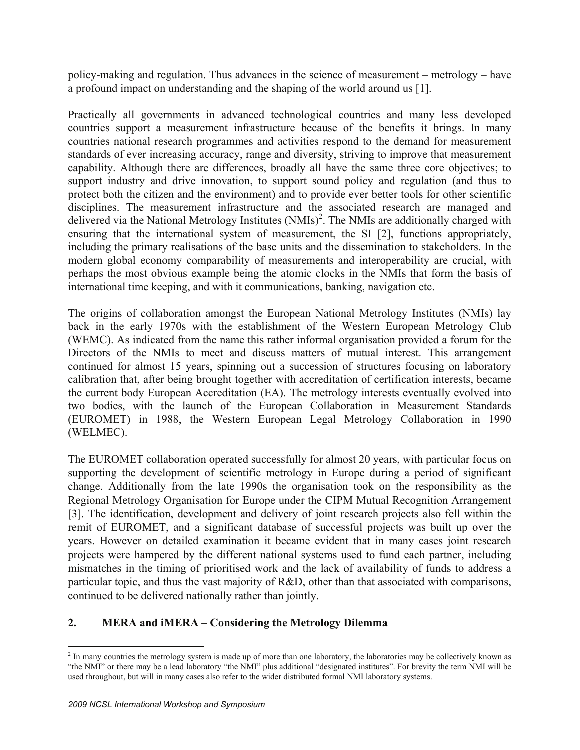policy-making and regulation. Thus advances in the science of measurement – metrology – have a profound impact on understanding and the shaping of the world around us [1].

Practically all governments in advanced technological countries and many less developed countries support a measurement infrastructure because of the benefits it brings. In many countries national research programmes and activities respond to the demand for measurement standards of ever increasing accuracy, range and diversity, striving to improve that measurement capability. Although there are differences, broadly all have the same three core objectives; to support industry and drive innovation, to support sound policy and regulation (and thus to protect both the citizen and the environment) and to provide ever better tools for other scientific disciplines. The measurement infrastructure and the associated research are managed and delivered via the National Metrology Institutes (NMIs)<sup>2</sup>. The NMIs are additionally charged with ensuring that the international system of measurement, the SI [2], functions appropriately, including the primary realisations of the base units and the dissemination to stakeholders. In the modern global economy comparability of measurements and interoperability are crucial, with perhaps the most obvious example being the atomic clocks in the NMIs that form the basis of international time keeping, and with it communications, banking, navigation etc.

The origins of collaboration amongst the European National Metrology Institutes (NMIs) lay back in the early 1970s with the establishment of the Western European Metrology Club (WEMC). As indicated from the name this rather informal organisation provided a forum for the Directors of the NMIs to meet and discuss matters of mutual interest. This arrangement continued for almost 15 years, spinning out a succession of structures focusing on laboratory calibration that, after being brought together with accreditation of certification interests, became the current body European Accreditation (EA). The metrology interests eventually evolved into two bodies, with the launch of the European Collaboration in Measurement Standards (EUROMET) in 1988, the Western European Legal Metrology Collaboration in 1990 (WELMEC).

The EUROMET collaboration operated successfully for almost 20 years, with particular focus on supporting the development of scientific metrology in Europe during a period of significant change. Additionally from the late 1990s the organisation took on the responsibility as the Regional Metrology Organisation for Europe under the CIPM Mutual Recognition Arrangement [3]. The identification, development and delivery of joint research projects also fell within the remit of EUROMET, and a significant database of successful projects was built up over the years. However on detailed examination it became evident that in many cases joint research projects were hampered by the different national systems used to fund each partner, including mismatches in the timing of prioritised work and the lack of availability of funds to address a particular topic, and thus the vast majority of R&D, other than that associated with comparisons, continued to be delivered nationally rather than jointly.

## **2. MERA and iMERA – Considering the Metrology Dilemma**

 $\overline{a}$  $<sup>2</sup>$  In many countries the metrology system is made up of more than one laboratory, the laboratories may be collectively known as</sup> "the NMI" or there may be a lead laboratory "the NMI" plus additional "designated institutes". For brevity the term NMI will be used throughout, but will in many cases also refer to the wider distributed formal NMI laboratory systems.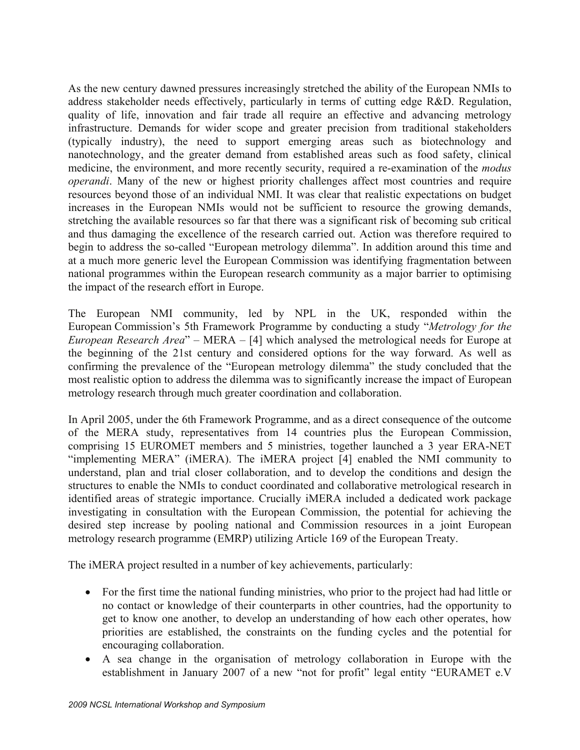As the new century dawned pressures increasingly stretched the ability of the European NMIs to address stakeholder needs effectively, particularly in terms of cutting edge R&D. Regulation, quality of life, innovation and fair trade all require an effective and advancing metrology infrastructure. Demands for wider scope and greater precision from traditional stakeholders (typically industry), the need to support emerging areas such as biotechnology and nanotechnology, and the greater demand from established areas such as food safety, clinical medicine, the environment, and more recently security, required a re-examination of the *modus operandi*. Many of the new or highest priority challenges affect most countries and require resources beyond those of an individual NMI. It was clear that realistic expectations on budget increases in the European NMIs would not be sufficient to resource the growing demands, stretching the available resources so far that there was a significant risk of becoming sub critical and thus damaging the excellence of the research carried out. Action was therefore required to begin to address the so-called "European metrology dilemma". In addition around this time and at a much more generic level the European Commission was identifying fragmentation between national programmes within the European research community as a major barrier to optimising the impact of the research effort in Europe.

The European NMI community, led by NPL in the UK, responded within the European Commission's 5th Framework Programme by conducting a study "*Metrology for the European Research Area*" – MERA – [4] which analysed the metrological needs for Europe at the beginning of the 21st century and considered options for the way forward. As well as confirming the prevalence of the "European metrology dilemma" the study concluded that the most realistic option to address the dilemma was to significantly increase the impact of European metrology research through much greater coordination and collaboration.

In April 2005, under the 6th Framework Programme, and as a direct consequence of the outcome of the MERA study, representatives from 14 countries plus the European Commission, comprising 15 EUROMET members and 5 ministries, together launched a 3 year ERA-NET "implementing MERA" (iMERA). The iMERA project [4] enabled the NMI community to understand, plan and trial closer collaboration, and to develop the conditions and design the structures to enable the NMIs to conduct coordinated and collaborative metrological research in identified areas of strategic importance. Crucially iMERA included a dedicated work package investigating in consultation with the European Commission, the potential for achieving the desired step increase by pooling national and Commission resources in a joint European metrology research programme (EMRP) utilizing Article 169 of the European Treaty.

The iMERA project resulted in a number of key achievements, particularly:

- For the first time the national funding ministries, who prior to the project had had little or no contact or knowledge of their counterparts in other countries, had the opportunity to get to know one another, to develop an understanding of how each other operates, how priorities are established, the constraints on the funding cycles and the potential for encouraging collaboration.
- A sea change in the organisation of metrology collaboration in Europe with the establishment in January 2007 of a new "not for profit" legal entity "EURAMET e.V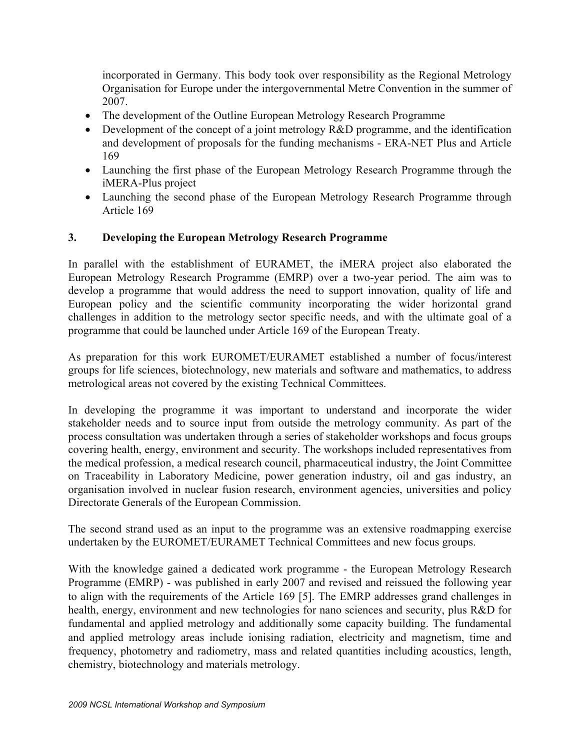incorporated in Germany. This body took over responsibility as the Regional Metrology Organisation for Europe under the intergovernmental Metre Convention in the summer of 2007.

- The development of the Outline European Metrology Research Programme
- Development of the concept of a joint metrology R&D programme, and the identification and development of proposals for the funding mechanisms - ERA-NET Plus and Article 169
- Launching the first phase of the European Metrology Research Programme through the iMERA-Plus project
- Launching the second phase of the European Metrology Research Programme through Article 169

## **3. Developing the European Metrology Research Programme**

In parallel with the establishment of EURAMET, the iMERA project also elaborated the European Metrology Research Programme (EMRP) over a two-year period. The aim was to develop a programme that would address the need to support innovation, quality of life and European policy and the scientific community incorporating the wider horizontal grand challenges in addition to the metrology sector specific needs, and with the ultimate goal of a programme that could be launched under Article 169 of the European Treaty.

As preparation for this work EUROMET/EURAMET established a number of focus/interest groups for life sciences, biotechnology, new materials and software and mathematics, to address metrological areas not covered by the existing Technical Committees.

In developing the programme it was important to understand and incorporate the wider stakeholder needs and to source input from outside the metrology community. As part of the process consultation was undertaken through a series of stakeholder workshops and focus groups covering health, energy, environment and security. The workshops included representatives from the medical profession, a medical research council, pharmaceutical industry, the Joint Committee on Traceability in Laboratory Medicine, power generation industry, oil and gas industry, an organisation involved in nuclear fusion research, environment agencies, universities and policy Directorate Generals of the European Commission.

The second strand used as an input to the programme was an extensive roadmapping exercise undertaken by the EUROMET/EURAMET Technical Committees and new focus groups.

With the knowledge gained a dedicated work programme - the European Metrology Research Programme (EMRP) - was published in early 2007 and revised and reissued the following year to align with the requirements of the Article 169 [5]. The EMRP addresses grand challenges in health, energy, environment and new technologies for nano sciences and security, plus R&D for fundamental and applied metrology and additionally some capacity building. The fundamental and applied metrology areas include ionising radiation, electricity and magnetism, time and frequency, photometry and radiometry, mass and related quantities including acoustics, length, chemistry, biotechnology and materials metrology.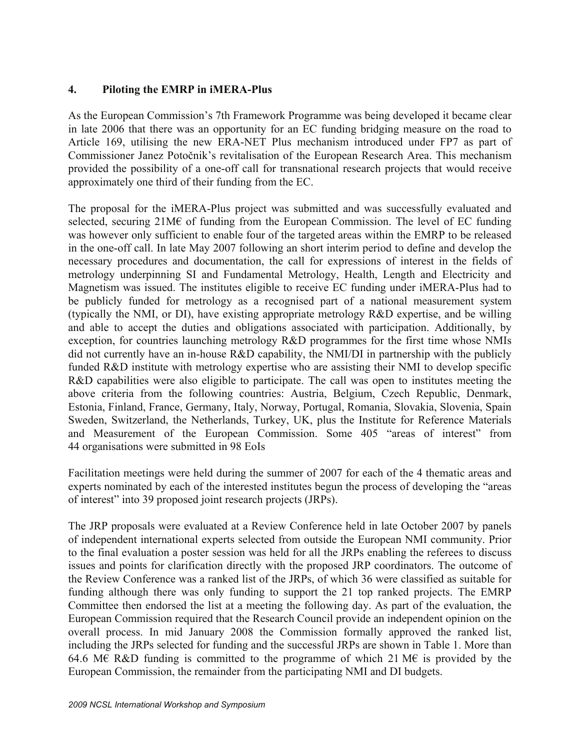### **4. Piloting the EMRP in iMERA-Plus**

As the European Commission's 7th Framework Programme was being developed it became clear in late 2006 that there was an opportunity for an EC funding bridging measure on the road to Article 169, utilising the new ERA-NET Plus mechanism introduced under FP7 as part of Commissioner Janez Potočnik's revitalisation of the European Research Area. This mechanism provided the possibility of a one-off call for transnational research projects that would receive approximately one third of their funding from the EC.

The proposal for the iMERA-Plus project was submitted and was successfully evaluated and selected, securing 21M€ of funding from the European Commission. The level of EC funding was however only sufficient to enable four of the targeted areas within the EMRP to be released in the one-off call. In late May 2007 following an short interim period to define and develop the necessary procedures and documentation, the call for expressions of interest in the fields of metrology underpinning SI and Fundamental Metrology, Health, Length and Electricity and Magnetism was issued. The institutes eligible to receive EC funding under iMERA-Plus had to be publicly funded for metrology as a recognised part of a national measurement system (typically the NMI, or DI), have existing appropriate metrology R&D expertise, and be willing and able to accept the duties and obligations associated with participation. Additionally, by exception, for countries launching metrology R&D programmes for the first time whose NMIs did not currently have an in-house R&D capability, the NMI/DI in partnership with the publicly funded R&D institute with metrology expertise who are assisting their NMI to develop specific R&D capabilities were also eligible to participate. The call was open to institutes meeting the above criteria from the following countries: Austria, Belgium, Czech Republic, Denmark, Estonia, Finland, France, Germany, Italy, Norway, Portugal, Romania, Slovakia, Slovenia, Spain Sweden, Switzerland, the Netherlands, Turkey, UK, plus the Institute for Reference Materials and Measurement of the European Commission. Some 405 "areas of interest" from 44 organisations were submitted in 98 EoIs

Facilitation meetings were held during the summer of 2007 for each of the 4 thematic areas and experts nominated by each of the interested institutes begun the process of developing the "areas of interest" into 39 proposed joint research projects (JRPs).

The JRP proposals were evaluated at a Review Conference held in late October 2007 by panels of independent international experts selected from outside the European NMI community. Prior to the final evaluation a poster session was held for all the JRPs enabling the referees to discuss issues and points for clarification directly with the proposed JRP coordinators. The outcome of the Review Conference was a ranked list of the JRPs, of which 36 were classified as suitable for funding although there was only funding to support the 21 top ranked projects. The EMRP Committee then endorsed the list at a meeting the following day. As part of the evaluation, the European Commission required that the Research Council provide an independent opinion on the overall process. In mid January 2008 the Commission formally approved the ranked list, including the JRPs selected for funding and the successful JRPs are shown in Table 1. More than 64.6 M€ R&D funding is committed to the programme of which 21 M€ is provided by the European Commission, the remainder from the participating NMI and DI budgets.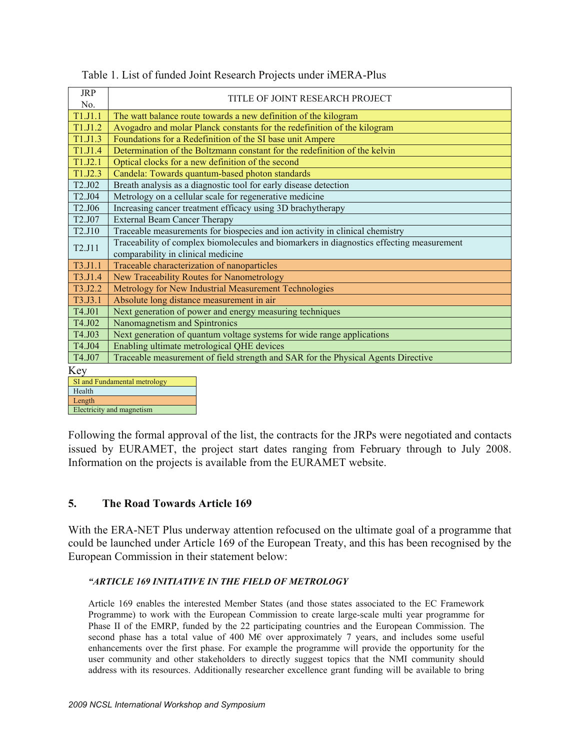| <b>JRP</b><br>No.               | TITLE OF JOINT RESEARCH PROJECT                                                          |  |
|---------------------------------|------------------------------------------------------------------------------------------|--|
| T1.J1.1                         | The watt balance route towards a new definition of the kilogram                          |  |
| T1.J1.2                         | Avogadro and molar Planck constants for the redefinition of the kilogram                 |  |
| T <sub>1.J1.3</sub>             | Foundations for a Redefinition of the SI base unit Ampere                                |  |
| T1.J1.4                         | Determination of the Boltzmann constant for the redefinition of the kelvin               |  |
| T1.J2.1                         | Optical clocks for a new definition of the second                                        |  |
| T1.J2.3                         | Candela: Towards quantum-based photon standards                                          |  |
| T2.J02                          | Breath analysis as a diagnostic tool for early disease detection                         |  |
| T <sub>2.J04</sub>              | Metrology on a cellular scale for regenerative medicine                                  |  |
| T <sub>2.J06</sub>              | Increasing cancer treatment efficacy using 3D brachytherapy                              |  |
| T <sub>2.J07</sub>              | <b>External Beam Cancer Therapy</b>                                                      |  |
| T2.J10                          | Traceable measurements for biospecies and ion activity in clinical chemistry             |  |
| T <sub>2</sub> .J <sub>11</sub> | Traceability of complex biomolecules and biomarkers in diagnostics effecting measurement |  |
|                                 | comparability in clinical medicine                                                       |  |
| T3.J1.1                         | Traceable characterization of nanoparticles                                              |  |
| T3.J1.4                         | New Traceability Routes for Nanometrology                                                |  |
| T3.J2.2                         | Metrology for New Industrial Measurement Technologies                                    |  |
| T3.J3.1                         | Absolute long distance measurement in air                                                |  |
| T4.J01                          | Next generation of power and energy measuring techniques                                 |  |
| T4.J02                          | Nanomagnetism and Spintronics                                                            |  |
| T4.J03                          | Next generation of quantum voltage systems for wide range applications                   |  |
| T4.J04                          | Enabling ultimate metrological QHE devices                                               |  |
| T4.J07                          | Traceable measurement of field strength and SAR for the Physical Agents Directive        |  |
| Key                             |                                                                                          |  |
| SI and Fundamental metrology    |                                                                                          |  |
| Health                          |                                                                                          |  |

| Table 1. List of funded Joint Research Projects under iMERA-Plus |  |
|------------------------------------------------------------------|--|
|------------------------------------------------------------------|--|

Length

Electricity and magnetism

Following the formal approval of the list, the contracts for the JRPs were negotiated and contacts issued by EURAMET, the project start dates ranging from February through to July 2008. Information on the projects is available from the EURAMET website.

## **5. The Road Towards Article 169**

With the ERA-NET Plus underway attention refocused on the ultimate goal of a programme that could be launched under Article 169 of the European Treaty, and this has been recognised by the European Commission in their statement below:

#### *"ARTICLE 169 INITIATIVE IN THE FIELD OF METROLOGY*

Article 169 enables the interested Member States (and those states associated to the EC Framework Programme) to work with the European Commission to create large-scale multi year programme for Phase II of the EMRP, funded by the 22 participating countries and the European Commission. The second phase has a total value of 400 M $\epsilon$  over approximately 7 years, and includes some useful enhancements over the first phase. For example the programme will provide the opportunity for the user community and other stakeholders to directly suggest topics that the NMI community should address with its resources. Additionally researcher excellence grant funding will be available to bring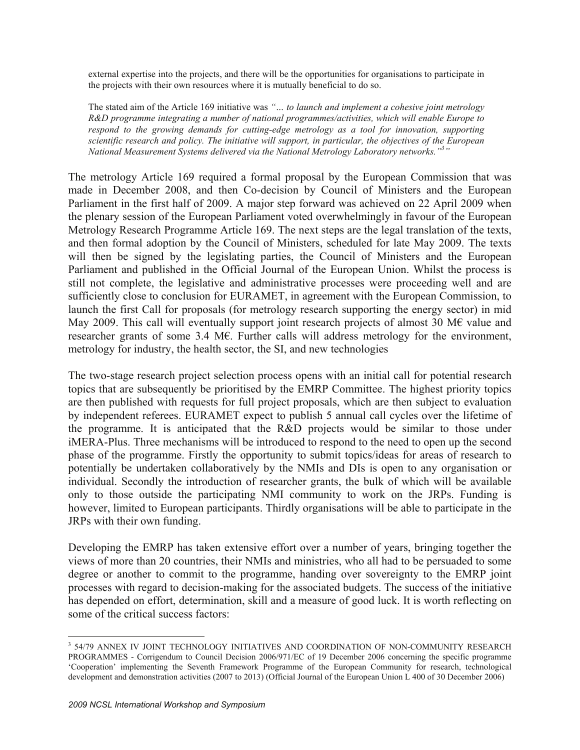external expertise into the projects, and there will be the opportunities for organisations to participate in the projects with their own resources where it is mutually beneficial to do so.

The stated aim of the Article 169 initiative was *"… to launch and implement a cohesive joint metrology R&D programme integrating a number of national programmes/activities, which will enable Europe to respond to the growing demands for cutting-edge metrology as a tool for innovation, supporting scientific research and policy. The initiative will support, in particular, the objectives of the European National Measurement Systems delivered via the National Metrology Laboratory networks."3 "* 

The metrology Article 169 required a formal proposal by the European Commission that was made in December 2008, and then Co-decision by Council of Ministers and the European Parliament in the first half of 2009. A major step forward was achieved on 22 April 2009 when the plenary session of the European Parliament voted overwhelmingly in favour of the European Metrology Research Programme Article 169. The next steps are the legal translation of the texts, and then formal adoption by the Council of Ministers, scheduled for late May 2009. The texts will then be signed by the legislating parties, the Council of Ministers and the European Parliament and published in the Official Journal of the European Union. Whilst the process is still not complete, the legislative and administrative processes were proceeding well and are sufficiently close to conclusion for EURAMET, in agreement with the European Commission, to launch the first Call for proposals (for metrology research supporting the energy sector) in mid May 2009. This call will eventually support joint research projects of almost 30 M€ value and researcher grants of some 3.4 M€. Further calls will address metrology for the environment, metrology for industry, the health sector, the SI, and new technologies

The two-stage research project selection process opens with an initial call for potential research topics that are subsequently be prioritised by the EMRP Committee. The highest priority topics are then published with requests for full project proposals, which are then subject to evaluation by independent referees. EURAMET expect to publish 5 annual call cycles over the lifetime of the programme. It is anticipated that the R&D projects would be similar to those under iMERA-Plus. Three mechanisms will be introduced to respond to the need to open up the second phase of the programme. Firstly the opportunity to submit topics/ideas for areas of research to potentially be undertaken collaboratively by the NMIs and DIs is open to any organisation or individual. Secondly the introduction of researcher grants, the bulk of which will be available only to those outside the participating NMI community to work on the JRPs. Funding is however, limited to European participants. Thirdly organisations will be able to participate in the JRPs with their own funding.

Developing the EMRP has taken extensive effort over a number of years, bringing together the views of more than 20 countries, their NMIs and ministries, who all had to be persuaded to some degree or another to commit to the programme, handing over sovereignty to the EMRP joint processes with regard to decision-making for the associated budgets. The success of the initiative has depended on effort, determination, skill and a measure of good luck. It is worth reflecting on some of the critical success factors:

 $\overline{a}$ 

<sup>&</sup>lt;sup>3</sup> 54/79 ANNEX IV JOINT TECHNOLOGY INITIATIVES AND COORDINATION OF NON-COMMUNITY RESEARCH PROGRAMMES - Corrigendum to Council Decision 2006/971/EC of 19 December 2006 concerning the specific programme 'Cooperation' implementing the Seventh Framework Programme of the European Community for research, technological development and demonstration activities (2007 to 2013) (Official Journal of the European Union L 400 of 30 December 2006)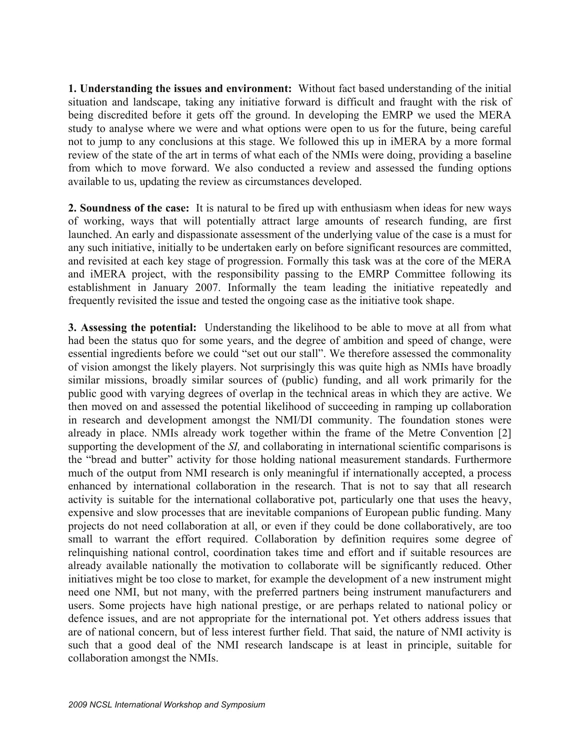**1. Understanding the issues and environment:** Without fact based understanding of the initial situation and landscape, taking any initiative forward is difficult and fraught with the risk of being discredited before it gets off the ground. In developing the EMRP we used the MERA study to analyse where we were and what options were open to us for the future, being careful not to jump to any conclusions at this stage. We followed this up in iMERA by a more formal review of the state of the art in terms of what each of the NMIs were doing, providing a baseline from which to move forward. We also conducted a review and assessed the funding options available to us, updating the review as circumstances developed.

**2. Soundness of the case:** It is natural to be fired up with enthusiasm when ideas for new ways of working, ways that will potentially attract large amounts of research funding, are first launched. An early and dispassionate assessment of the underlying value of the case is a must for any such initiative, initially to be undertaken early on before significant resources are committed, and revisited at each key stage of progression. Formally this task was at the core of the MERA and iMERA project, with the responsibility passing to the EMRP Committee following its establishment in January 2007. Informally the team leading the initiative repeatedly and frequently revisited the issue and tested the ongoing case as the initiative took shape.

**3. Assessing the potential:** Understanding the likelihood to be able to move at all from what had been the status quo for some years, and the degree of ambition and speed of change, were essential ingredients before we could "set out our stall". We therefore assessed the commonality of vision amongst the likely players. Not surprisingly this was quite high as NMIs have broadly similar missions, broadly similar sources of (public) funding, and all work primarily for the public good with varying degrees of overlap in the technical areas in which they are active. We then moved on and assessed the potential likelihood of succeeding in ramping up collaboration in research and development amongst the NMI/DI community. The foundation stones were already in place. NMIs already work together within the frame of the Metre Convention [2] supporting the development of the *SI,* and collaborating in international scientific comparisons is the "bread and butter" activity for those holding national measurement standards. Furthermore much of the output from NMI research is only meaningful if internationally accepted, a process enhanced by international collaboration in the research. That is not to say that all research activity is suitable for the international collaborative pot, particularly one that uses the heavy, expensive and slow processes that are inevitable companions of European public funding. Many projects do not need collaboration at all, or even if they could be done collaboratively, are too small to warrant the effort required. Collaboration by definition requires some degree of relinquishing national control, coordination takes time and effort and if suitable resources are already available nationally the motivation to collaborate will be significantly reduced. Other initiatives might be too close to market, for example the development of a new instrument might need one NMI, but not many, with the preferred partners being instrument manufacturers and users. Some projects have high national prestige, or are perhaps related to national policy or defence issues, and are not appropriate for the international pot. Yet others address issues that are of national concern, but of less interest further field. That said, the nature of NMI activity is such that a good deal of the NMI research landscape is at least in principle, suitable for collaboration amongst the NMIs.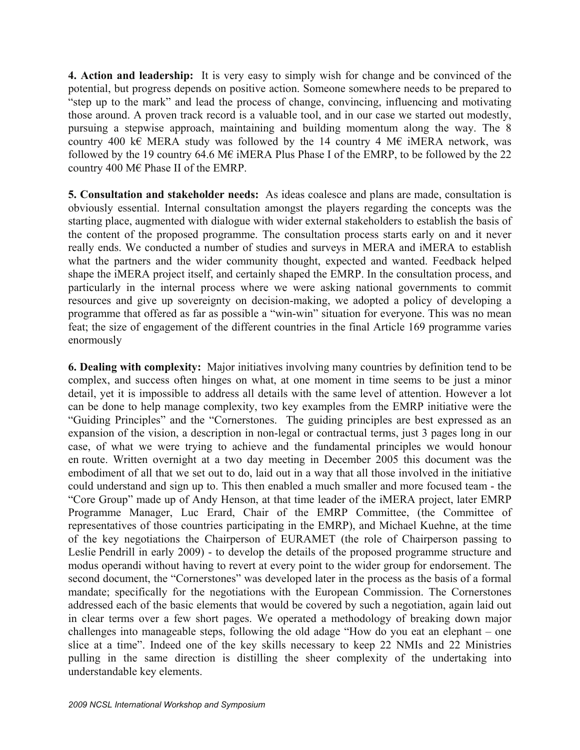**4. Action and leadership:** It is very easy to simply wish for change and be convinced of the potential, but progress depends on positive action. Someone somewhere needs to be prepared to "step up to the mark" and lead the process of change, convincing, influencing and motivating those around. A proven track record is a valuable tool, and in our case we started out modestly, pursuing a stepwise approach, maintaining and building momentum along the way. The 8 country 400 k€ MERA study was followed by the 14 country 4 M€ iMERA network, was followed by the 19 country 64.6 M $\epsilon$  iMERA Plus Phase I of the EMRP, to be followed by the 22 country 400 M€ Phase II of the EMRP.

**5. Consultation and stakeholder needs:** As ideas coalesce and plans are made, consultation is obviously essential. Internal consultation amongst the players regarding the concepts was the starting place, augmented with dialogue with wider external stakeholders to establish the basis of the content of the proposed programme. The consultation process starts early on and it never really ends. We conducted a number of studies and surveys in MERA and iMERA to establish what the partners and the wider community thought, expected and wanted. Feedback helped shape the iMERA project itself, and certainly shaped the EMRP. In the consultation process, and particularly in the internal process where we were asking national governments to commit resources and give up sovereignty on decision-making, we adopted a policy of developing a programme that offered as far as possible a "win-win" situation for everyone. This was no mean feat; the size of engagement of the different countries in the final Article 169 programme varies enormously

**6. Dealing with complexity:** Major initiatives involving many countries by definition tend to be complex, and success often hinges on what, at one moment in time seems to be just a minor detail, yet it is impossible to address all details with the same level of attention. However a lot can be done to help manage complexity, two key examples from the EMRP initiative were the "Guiding Principles" and the "Cornerstones. The guiding principles are best expressed as an expansion of the vision, a description in non-legal or contractual terms, just 3 pages long in our case, of what we were trying to achieve and the fundamental principles we would honour en route. Written overnight at a two day meeting in December 2005 this document was the embodiment of all that we set out to do, laid out in a way that all those involved in the initiative could understand and sign up to. This then enabled a much smaller and more focused team - the "Core Group" made up of Andy Henson, at that time leader of the iMERA project, later EMRP Programme Manager, Luc Erard, Chair of the EMRP Committee, (the Committee of representatives of those countries participating in the EMRP), and Michael Kuehne, at the time of the key negotiations the Chairperson of EURAMET (the role of Chairperson passing to Leslie Pendrill in early 2009) - to develop the details of the proposed programme structure and modus operandi without having to revert at every point to the wider group for endorsement. The second document, the "Cornerstones" was developed later in the process as the basis of a formal mandate; specifically for the negotiations with the European Commission. The Cornerstones addressed each of the basic elements that would be covered by such a negotiation, again laid out in clear terms over a few short pages. We operated a methodology of breaking down major challenges into manageable steps, following the old adage "How do you eat an elephant – one slice at a time". Indeed one of the key skills necessary to keep 22 NMIs and 22 Ministries pulling in the same direction is distilling the sheer complexity of the undertaking into understandable key elements.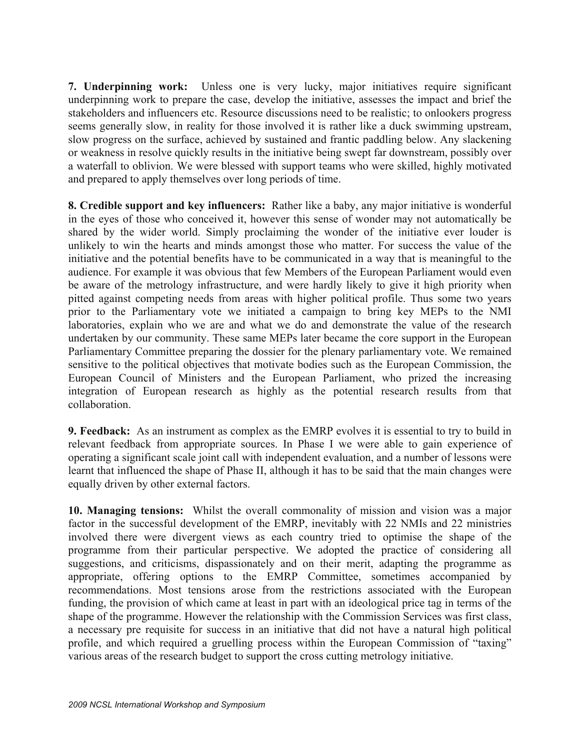**7. Underpinning work:** Unless one is very lucky, major initiatives require significant underpinning work to prepare the case, develop the initiative, assesses the impact and brief the stakeholders and influencers etc. Resource discussions need to be realistic; to onlookers progress seems generally slow, in reality for those involved it is rather like a duck swimming upstream, slow progress on the surface, achieved by sustained and frantic paddling below. Any slackening or weakness in resolve quickly results in the initiative being swept far downstream, possibly over a waterfall to oblivion. We were blessed with support teams who were skilled, highly motivated and prepared to apply themselves over long periods of time.

**8. Credible support and key influencers:** Rather like a baby, any major initiative is wonderful in the eyes of those who conceived it, however this sense of wonder may not automatically be shared by the wider world. Simply proclaiming the wonder of the initiative ever louder is unlikely to win the hearts and minds amongst those who matter. For success the value of the initiative and the potential benefits have to be communicated in a way that is meaningful to the audience. For example it was obvious that few Members of the European Parliament would even be aware of the metrology infrastructure, and were hardly likely to give it high priority when pitted against competing needs from areas with higher political profile. Thus some two years prior to the Parliamentary vote we initiated a campaign to bring key MEPs to the NMI laboratories, explain who we are and what we do and demonstrate the value of the research undertaken by our community. These same MEPs later became the core support in the European Parliamentary Committee preparing the dossier for the plenary parliamentary vote. We remained sensitive to the political objectives that motivate bodies such as the European Commission, the European Council of Ministers and the European Parliament, who prized the increasing integration of European research as highly as the potential research results from that collaboration.

**9. Feedback:** As an instrument as complex as the EMRP evolves it is essential to try to build in relevant feedback from appropriate sources. In Phase I we were able to gain experience of operating a significant scale joint call with independent evaluation, and a number of lessons were learnt that influenced the shape of Phase II, although it has to be said that the main changes were equally driven by other external factors.

**10. Managing tensions:** Whilst the overall commonality of mission and vision was a major factor in the successful development of the EMRP, inevitably with 22 NMIs and 22 ministries involved there were divergent views as each country tried to optimise the shape of the programme from their particular perspective. We adopted the practice of considering all suggestions, and criticisms, dispassionately and on their merit, adapting the programme as appropriate, offering options to the EMRP Committee, sometimes accompanied by recommendations. Most tensions arose from the restrictions associated with the European funding, the provision of which came at least in part with an ideological price tag in terms of the shape of the programme. However the relationship with the Commission Services was first class, a necessary pre requisite for success in an initiative that did not have a natural high political profile, and which required a gruelling process within the European Commission of "taxing" various areas of the research budget to support the cross cutting metrology initiative.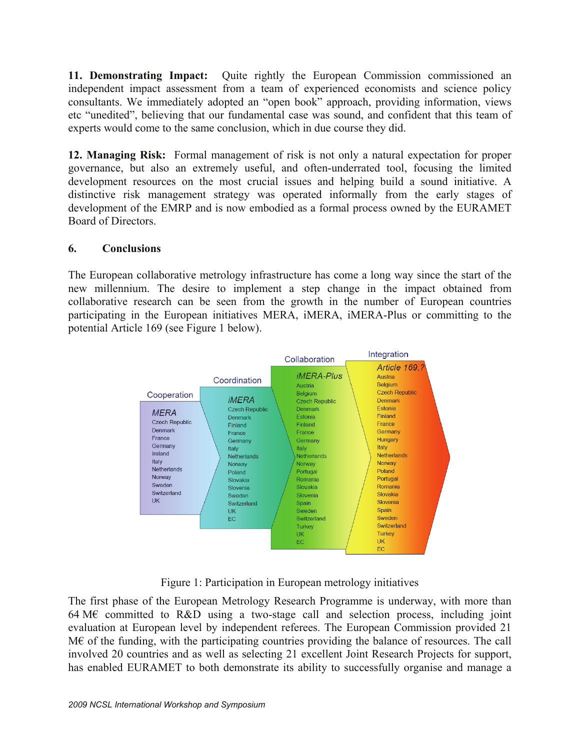**11. Demonstrating Impact:** Quite rightly the European Commission commissioned an independent impact assessment from a team of experienced economists and science policy consultants. We immediately adopted an "open book" approach, providing information, views etc "unedited", believing that our fundamental case was sound, and confident that this team of experts would come to the same conclusion, which in due course they did.

**12. Managing Risk:** Formal management of risk is not only a natural expectation for proper governance, but also an extremely useful, and often-underrated tool, focusing the limited development resources on the most crucial issues and helping build a sound initiative. A distinctive risk management strategy was operated informally from the early stages of development of the EMRP and is now embodied as a formal process owned by the EURAMET Board of Directors.

#### **6. Conclusions**

The European collaborative metrology infrastructure has come a long way since the start of the new millennium. The desire to implement a step change in the impact obtained from collaborative research can be seen from the growth in the number of European countries participating in the European initiatives MERA, iMERA, iMERA-Plus or committing to the potential Article 169 (see Figure 1 below).



Figure 1: Participation in European metrology initiatives

The first phase of the European Metrology Research Programme is underway, with more than 64 M $\epsilon$  committed to R&D using a two-stage call and selection process, including joint evaluation at European level by independent referees. The European Commission provided 21 M€ of the funding, with the participating countries providing the balance of resources. The call involved 20 countries and as well as selecting 21 excellent Joint Research Projects for support, has enabled EURAMET to both demonstrate its ability to successfully organise and manage a